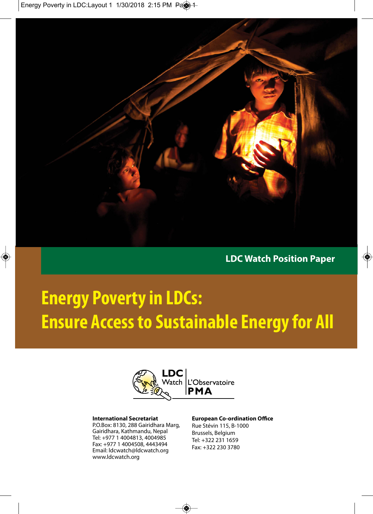Energy Poverty in LDC:Layout 1 1/30/2018 2:15 PM Pas



**LDC Watch Position Paper**

 $\color{red} \diamond$ 

# **Energy Poverty in LDCs: Ensure Access to Sustainable Energy for All**



#### **International Secretariat**

P.O.Box: 8130, 288 Gairidhara Marg, Gairidhara, Kathmandu, Nepal Tel: +977 1 4004813, 4004985 Fax: +977 1 4004508, 4443494 Email: ldcwatch@ldcwatch.org www.ldcwatch.org

#### **European Co-ordination Office** Rue Stévin 115, B-1000

Brussels, Belgium Tel: +322 231 1659 Fax: +322 230 3780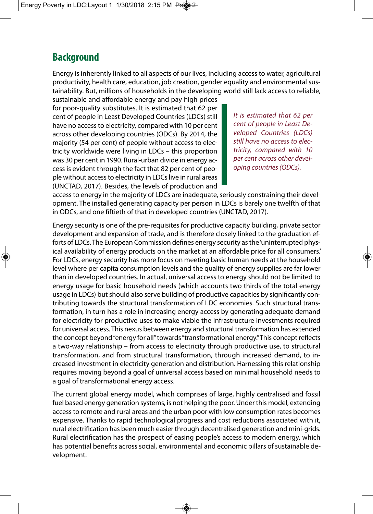#### **Background**

Energy is inherently linked to all aspects of our lives, including access to water, agricultural productivity, health care, education, job creation, gender equality and environmental sustainability. But, millions of households in the developing world still lack access to reliable,

sustainable and affordable energy and pay high prices for poor-quality substitutes. It is estimated that 62 per cent of people in Least Developed Countries (LDCs) still have no access to electricity, compared with 10 per cent across other developing countries (ODCs). By 2014, the majority (54 per cent) of people without access to electricity worldwide were living in LDCs – this proportion was 30 per cent in 1990. Rural-urban divide in energy access is evident through the fact that 82 per cent of people without access to electricity in LDCs live in rural areas (UNCTAD, 2017). Besides, the levels of production and

It is estimated that 62 per cent of people in Least Developed Countries (LDCs) still have no access to electricity, compared with 10 per cent across other developing countries (ODCs).

access to energy in the majority of LDCs are inadequate, seriously constraining their development. The installed generating capacity per person in LDCs is barely one twelfth of that in ODCs, and one fiftieth of that in developed countries (UNCTAD, 2017).

Energy security is one of the pre-requisites for productive capacity building, private sector development and expansion of trade, and is therefore closely linked to the graduation efforts of LDCs. The European Commission defines energy security as the 'uninterrupted physical availability of energy products on the market at an affordable price for all consumers.' For LDCs, energy security has more focus on meeting basic human needs at the household level where per capita consumption levels and the quality of energy supplies are far lower than in developed countries. In actual, universal access to energy should not be limited to energy usage for basic household needs (which accounts two thirds of the total energy usage in LDCs) but should also serve building of productive capacities by significantly contributing towards the structural transformation of LDC economies. Such structural transformation, in turn has a role in increasing energy access by generating adequate demand for electricity for productive uses to make viable the infrastructure investments required for universal access. This nexus between energy and structural transformation has extended the concept beyond "energy for all" towards "transformational energy." This concept reflects a two-way relationship – from access to electricity through productive use, to structural transformation, and from structural transformation, through increased demand, to increased investment in electricity generation and distribution. Harnessing this relationship requires moving beyond a goal of universal access based on minimal household needs to a goal of transformational energy access.

The current global energy model, which comprises of large, highly centralised and fossil fuel based energy generation systems, is not helping the poor. Under this model, extending access to remote and rural areas and the urban poor with low consumption rates becomes expensive. Thanks to rapid technological progress and cost reductions associated with it, rural electrification has been much easier through decentralised generation and mini-grids. Rural electrification has the prospect of easing people's access to modern energy, which has potential benefits across social, environmental and economic pillars of sustainable development.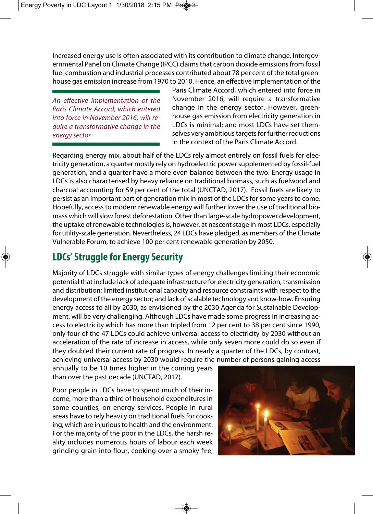Increased energy use is often associated with its contribution to climate change. Intergovernmental Panel on Climate Change (IPCC) claims that carbon dioxide emissions from fossil fuel combustion and industrial processes contributed about 78 per cent of the total greenhouse gas emission increase from 1970 to 2010. Hence, an effective implementation of the

An effective implementation of the Paris Climate Accord, which entered into force in November 2016, will require a transformative change in the energy sector.

Paris Climate Accord, which entered into force in November 2016, will require a transformative change in the energy sector. However, greenhouse gas emission from electricity generation in LDCs is minimal; and most LDCs have set themselves very ambitious targets for further reductions in the context of the Paris Climate Accord.

Regarding energy mix, about half of the LDCs rely almost entirely on fossil fuels for electricity generation, a quarter mostly rely on hydroelectric power supplemented by fossil-fuel generation, and a quarter have a more even balance between the two. Energy usage in LDCs is also characterised by heavy reliance on traditional biomass, such as fuelwood and charcoal accounting for 59 per cent of the total (UNCTAD, 2017). Fossil fuels are likely to persist as an important part of generation mix in most of the LDCs for some years to come. Hopefully, access to modern renewable energy will further lower the use of traditional biomass which will slow forest deforestation. Other than large-scale hydropower development, the uptake of renewable technologies is, however, at nascent stage in most LDCs, especially for utility-scale generation. Nevertheless, 24 LDCs have pledged, as members of the Climate Vulnerable Forum, to achieve 100 per cent renewable generation by 2050.

# **LDCs' Struggle for Energy Security**

Majority of LDCs struggle with similar types of energy challenges limiting their economic potential that include lack of adequate infrastructure for electricity generation, transmission and distribution; limited institutional capacity and resource constraints with respect to the development of the energy sector; and lack of scalable technology and know-how. Ensuring energy access to all by 2030, as envisioned by the 2030 Agenda for Sustainable Development, will be very challenging. Although LDCs have made some progress in increasing access to electricity which has more than tripled from 12 per cent to 38 per cent since 1990, only four of the 47 LDCs could achieve universal access to electricity by 2030 without an acceleration of the rate of increase in access, while only seven more could do so even if they doubled their current rate of progress. In nearly a quarter of the LDCs, by contrast, achieving universal access by 2030 would require the number of persons gaining access

annually to be 10 times higher in the coming years than over the past decade (UNCTAD, 2017).

Poor people in LDCs have to spend much of their income, more than a third of household expenditures in some counties, on energy services. People in rural areas have to rely heavily on traditional fuels for cooking, which are injurious to health and the environment. For the majority of the poor in the LDCs, the harsh reality includes numerous hours of labour each week grinding grain into flour, cooking over a smoky fire,

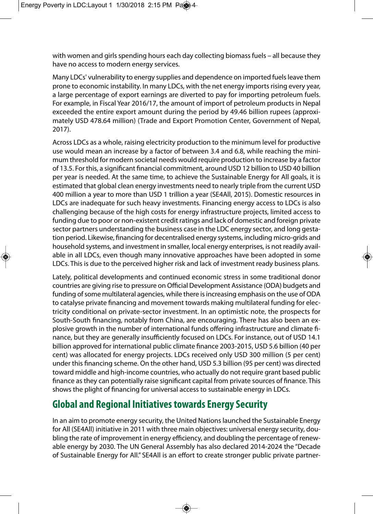with women and girls spending hours each day collecting biomass fuels – all because they have no access to modern energy services.

Many LDCs' vulnerability to energy supplies and dependence on imported fuels leave them prone to economic instability. In many LDCs, with the net energy imports rising every year, a large percentage of export earnings are diverted to pay for importing petroleum fuels. For example, in Fiscal Year 2016/17, the amount of import of petroleum products in Nepal exceeded the entire export amount during the period by 49.46 billion rupees (approximately USD 478.64 million) (Trade and Export Promotion Center, Government of Nepal, 2017).

Across LDCs as a whole, raising electricity production to the minimum level for productive use would mean an increase by a factor of between 3.4 and 6.8, while reaching the minimum threshold for modern societal needs would require production to increase by a factor of 13.5. For this, a significant financial commitment, around USD 12 billion to USD 40 billion per year is needed. At the same time, to achieve the Sustainable Energy for All goals, it is estimated that global clean energy investments need to nearly triple from the current USD 400 million a year to more than USD 1 trillion a year (SE4All, 2015). Domestic resources in LDCs are inadequate for such heavy investments. Financing energy access to LDCs is also challenging because of the high costs for energy infrastructure projects, limited access to funding due to poor or non-existent credit ratings and lack of domestic and foreign private sector partners understanding the business case in the LDC energy sector, and long gestation period. Likewise, financing for decentralised energy systems, including micro-grids and household systems, and investment in smaller, local energy enterprises, is not readily available in all LDCs, even though many innovative approaches have been adopted in some LDCs. This is due to the perceived higher risk and lack of investment ready business plans.

Lately, political developments and continued economic stress in some traditional donor countries are giving rise to pressure on Official Development Assistance (ODA) budgets and funding of some multilateral agencies, while there is increasing emphasis on the use of ODA to catalyse private financing and movement towards making multilateral funding for electricity conditional on private-sector investment. In an optimistic note, the prospects for South-South financing, notably from China, are encouraging. There has also been an explosive growth in the number of international funds offering infrastructure and climate finance, but they are generally insufficiently focused on LDCs. For instance, out of USD 14.1 billion approved for international public climate finance 2003-2015, USD 5.6 billion (40 per cent) was allocated for energy projects. LDCs received only USD 300 million (5 per cent) under this financing scheme. On the other hand, USD 5.3 billion (95 per cent) was directed toward middle and high-income countries, who actually do not require grant based public finance as they can potentially raise significant capital from private sources of finance. This shows the plight of financing for universal access to sustainable energy in LDCs.

# **Global and Regional Initiatives towards Energy Security**

In an aim to promote energy security, the United Nations launched the Sustainable Energy for All (SE4All) initiative in 2011 with three main objectives: universal energy security, doubling the rate of improvement in energy efficiency, and doubling the percentage of renewable energy by 2030. The UN General Assembly has also declared 2014-2024 the "Decade of Sustainable Energy for All." SE4All is an effort to create stronger public private partner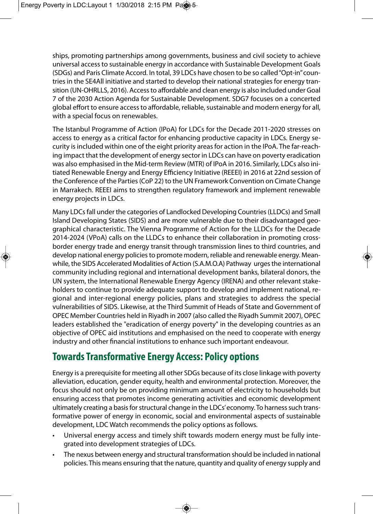ships, promoting partnerships among governments, business and civil society to achieve universal access to sustainable energy in accordance with Sustainable Development Goals (SDGs) and Paris Climate Accord. In total, 39 LDCs have chosen to be so called "Opt-in" countries in the SE4All initiative and started to develop their national strategies for energy transition (UN-OHRLLS, 2016). Access to affordable and clean energy is also included under Goal 7 of the 2030 Action Agenda for Sustainable Development. SDG7 focuses on a concerted global effort to ensure access to affordable, reliable, sustainable and modern energy for all, with a special focus on renewables.

The Istanbul Programme of Action (IPoA) for LDCs for the Decade 2011-2020 stresses on access to energy as a critical factor for enhancing productive capacity in LDCs. Energy security is included within one of the eight priority areas for action in the IPoA. The far-reaching impact that the development of energy sector in LDCs can have on poverty eradication was also emphasised in the Mid-term Review (MTR) of IPoA in 2016. Similarly, LDCs also initiated Renewable Energy and Energy Efficiency Initiative (REEEI) in 2016 at 22nd session of the Conference of the Parties (CoP 22) to the UN Framework Convention on Cimate Change in Marrakech. REEEI aims to strengthen regulatory framework and implement renewable energy projects in LDCs.

Many LDCs fall under the categories of Landlocked Developing Countries (LLDCs) and Small Island Developing States (SIDS) and are more vulnerable due to their disadvantaged geographical characteristic. The Vienna Programme of Action for the LLDCs for the Decade 2014-2024 (VPoA) calls on the LLDCs to enhance their collaboration in promoting crossborder energy trade and energy transit through transmission lines to third countries, and develop national energy policies to promote modern, reliable and renewable energy. Meanwhile, the SIDS Accelerated Modalities of Action (S.A.M.O.A) Pathway urges the international community including regional and international development banks, bilateral donors, the UN system, the International Renewable Energy Agency (IRENA) and other relevant stakeholders to continue to provide adequate support to develop and implement national, regional and inter-regional energy policies, plans and strategies to address the special vulnerabilities of SIDS. Likewise, at the Third Summit of Heads of State and Government of OPEC Member Countries held in Riyadh in 2007 (also called the Riyadh Summit 2007), OPEC leaders established the "eradication of energy poverty" in the developing countries as an objective of OPEC aid institutions and emphasised on the need to cooperate with energy industry and other financial institutions to enhance such important endeavour.

### **Towards Transformative Energy Access: Policy options**

Energy is a prerequisite for meeting all other SDGs because of its close linkage with poverty alleviation, education, gender equity, health and environmental protection. Moreover, the focus should not only be on providing minimum amount of electricity to households but ensuring access that promotes income generating activities and economic development ultimately creating a basis for structural change in the LDCs' economy. To harness such transformative power of energy in economic, social and environmental aspects of sustainable development, LDC Watch recommends the policy options as follows.

- Universal energy access and timely shift towards modern energy must be fully integrated into development strategies of LDCs.
- The nexus between energy and structural transformation should be included in national policies. This means ensuring that the nature, quantity and quality of energy supply and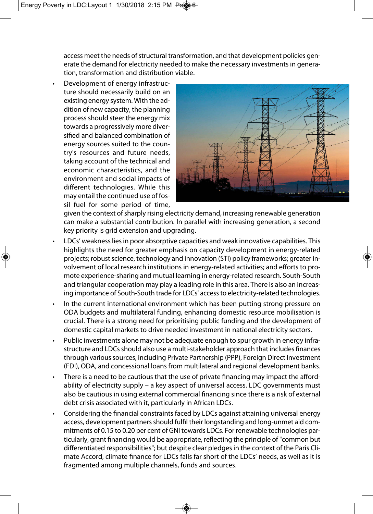access meet the needs of structural transformation, and that development policies generate the demand for electricity needed to make the necessary investments in generation, transformation and distribution viable.

• Development of energy infrastructure should necessarily build on an existing energy system. With the addition of new capacity, the planning process should steer the energy mix towards a progressively more diversified and balanced combination of energy sources suited to the country's resources and future needs, taking account of the technical and economic characteristics, and the environment and social impacts of different technologies. While this may entail the continued use of fossil fuel for some period of time,



given the context of sharply rising electricity demand, increasing renewable generation can make a substantial contribution. In parallel with increasing generation, a second key priority is grid extension and upgrading.

- LDCs' weakness lies in poor absorptive capacities and weak innovative capabilities. This highlights the need for greater emphasis on capacity development in energy-related projects; robust science, technology and innovation (STI) policy frameworks; greater involvement of local research institutions in energy-related activities; and efforts to promote experience-sharing and mutual learning in energy-related research. South-South and triangular cooperation may play a leading role in this area. There is also an increasing importance of South-South trade for LDCs' access to electricity-related technologies.
- In the current international environment which has been putting strong pressure on ODA budgets and multilateral funding, enhancing domestic resource mobilisation is crucial. There is a strong need for prioritising public funding and the development of domestic capital markets to drive needed investment in national electricity sectors.
- Public investments alone may not be adequate enough to spur growth in energy infrastructure and LDCs should also use a multi-stakeholder approach that includes finances through various sources, including Private Partnership (PPP), Foreign Direct Investment (FDI), ODA, and concessional loans from multilateral and regional development banks.
- There is a need to be cautious that the use of private financing may impact the affordability of electricity supply – a key aspect of universal access. LDC governments must also be cautious in using external commercial financing since there is a risk of external debt crisis associated with it, particularly in African LDCs.
- Considering the financial constraints faced by LDCs against attaining universal energy access, development partners should fulfil their longstanding and long-unmet aid commitments of 0.15 to 0.20 per cent of GNI towards LDCs. For renewable technologies particularly, grant financing would be appropriate, reflecting the principle of "common but differentiated responsibilities"; but despite clear pledges in the context of the Paris Climate Accord, climate finance for LDCs falls far short of the LDCs' needs, as well as it is fragmented among multiple channels, funds and sources.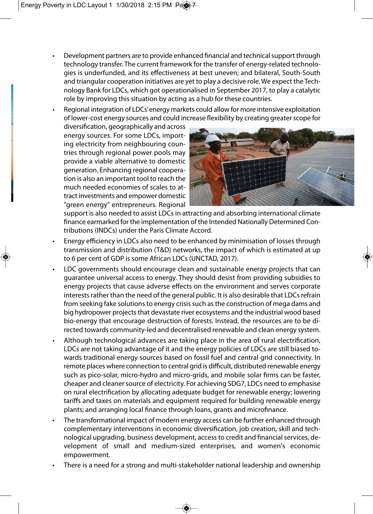- Development partners are to provide enhanced financial and technical support through technology transfer. The current framework for the transfer of energy-related technologies is underfunded, and its effectiveness at best uneven; and bilateral, South-South and triangular cooperation initiatives are yet to play a decisive role. We expect the Technology Bank for LDCs, which got operationalised in September 2017, to play a catalytic role by improving this situation by acting as a hub for these countries.
- Regional integration of LDCs' energy markets could allow for more intensive exploitation of lower-cost energy sources and could increase flexibility by creating greater scope for

diversification, geographically and across energy sources. For some LDCs, importing electricity from neighbouring countries through regional power pools may provide a viable alternative to domestic generation. Enhancing regional cooperation is also an important tool to reach the much needed economies of scales to attract investments and empower domestic "green energy" entrepreneurs. Regional



support is also needed to assist LDCs in attracting and absorbing international climate finance earmarked for the implementation of the Intended Nationally Determined Contributions (INDCs) under the Paris Climate Accord.

- Energy efficiency in LDCs also need to be enhanced by minimisation of losses through transmission and distribution (T&D) networks, the impact of which is estimated at up to 6 per cent of GDP is some African LDCs (UNCTAD, 2017).
- LDC governments should encourage clean and sustainable energy projects that can guarantee universal access to energy. They should desist from providing subsidies to energy projects that cause adverse effects on the environment and serves corporate interests rather than the need of the general public. It is also desirable that LDCs refrain from seeking fake solutions to energy crisis such as the construction of mega dams and big hydropower projects that devastate river ecosystems and the industrial wood based bio-energy that encourage destruction of forests. Instead, the resources are to be directed towards community-led and decentralised renewable and clean energy system.
- Although technological advances are taking place in the area of rural electrification, LDCs are not taking advantage of it and the energy policies of LDCs are still biased towards traditional energy sources based on fossil fuel and central grid connectivity. In remote places where connection to central grid is difficult, distributed renewable energy such as pico-solar, micro-hydro and micro-grids, and mobile solar firms can be faster, cheaper and cleaner source of electricity. For achieving SDG7, LDCs need to emphasise on rural electrification by allocating adequate budget for renewable energy; lowering tariffs and taxes on materials and equipment required for building renewable energy plants; and arranging local finance through loans, grants and microfinance.
- The transformational impact of modern energy access can be further enhanced through complementary interventions in economic diversification, job creation, skill and technological upgrading, business development, access to credit and financial services, development of small and medium-sized enterprises, and women's economic empowerment.
- There is a need for a strong and multi-stakeholder national leadership and ownership